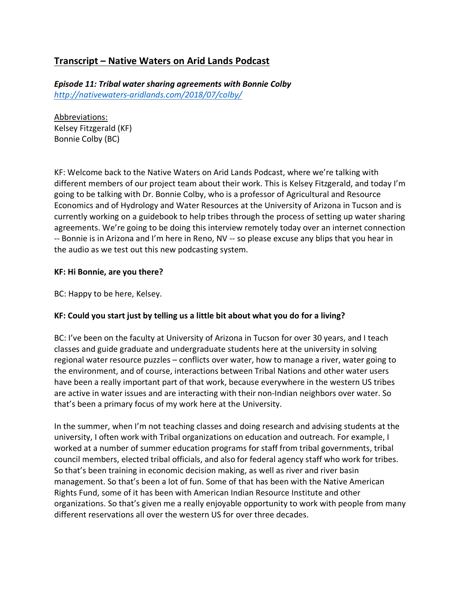# **Transcript – Native Waters on Arid Lands Podcast**

*Episode 11: Tribal water sharing agreements with Bonnie Colby http://nativewaters-aridlands.com/2018/07/colby/*

Abbreviations: Kelsey Fitzgerald (KF) Bonnie Colby (BC)

KF: Welcome back to the Native Waters on Arid Lands Podcast, where we're talking with different members of our project team about their work. This is Kelsey Fitzgerald, and today I'm going to be talking with Dr. Bonnie Colby, who is a professor of Agricultural and Resource Economics and of Hydrology and Water Resources at the University of Arizona in Tucson and is currently working on a guidebook to help tribes through the process of setting up water sharing agreements. We're going to be doing this interview remotely today over an internet connection -- Bonnie is in Arizona and I'm here in Reno, NV -- so please excuse any blips that you hear in the audio as we test out this new podcasting system.

#### **KF: Hi Bonnie, are you there?**

BC: Happy to be here, Kelsey.

#### **KF: Could you start just by telling us a little bit about what you do for a living?**

BC: I've been on the faculty at University of Arizona in Tucson for over 30 years, and I teach classes and guide graduate and undergraduate students here at the university in solving regional water resource puzzles – conflicts over water, how to manage a river, water going to the environment, and of course, interactions between Tribal Nations and other water users have been a really important part of that work, because everywhere in the western US tribes are active in water issues and are interacting with their non-Indian neighbors over water. So that's been a primary focus of my work here at the University.

In the summer, when I'm not teaching classes and doing research and advising students at the university, I often work with Tribal organizations on education and outreach. For example, I worked at a number of summer education programs for staff from tribal governments, tribal council members, elected tribal officials, and also for federal agency staff who work for tribes. So that's been training in economic decision making, as well as river and river basin management. So that's been a lot of fun. Some of that has been with the Native American Rights Fund, some of it has been with American Indian Resource Institute and other organizations. So that's given me a really enjoyable opportunity to work with people from many different reservations all over the western US for over three decades.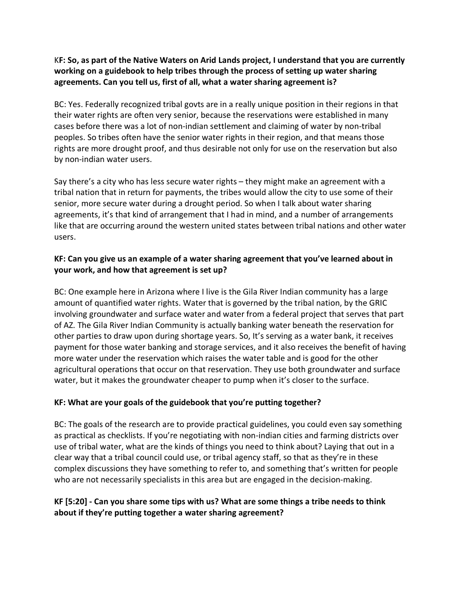#### K**F: So, as part of the Native Waters on Arid Lands project, I understand that you are currently working on a guidebook to help tribes through the process of setting up water sharing agreements. Can you tell us, first of all, what a water sharing agreement is?**

BC: Yes. Federally recognized tribal govts are in a really unique position in their regions in that their water rights are often very senior, because the reservations were established in many cases before there was a lot of non-indian settlement and claiming of water by non-tribal peoples. So tribes often have the senior water rights in their region, and that means those rights are more drought proof, and thus desirable not only for use on the reservation but also by non-indian water users.

Say there's a city who has less secure water rights – they might make an agreement with a tribal nation that in return for payments, the tribes would allow the city to use some of their senior, more secure water during a drought period. So when I talk about water sharing agreements, it's that kind of arrangement that I had in mind, and a number of arrangements like that are occurring around the western united states between tribal nations and other water users.

# **KF: Can you give us an example of a water sharing agreement that you've learned about in your work, and how that agreement is set up?**

BC: One example here in Arizona where I live is the Gila River Indian community has a large amount of quantified water rights. Water that is governed by the tribal nation, by the GRIC involving groundwater and surface water and water from a federal project that serves that part of AZ. The Gila River Indian Community is actually banking water beneath the reservation for other parties to draw upon during shortage years. So, It's serving as a water bank, it receives payment for those water banking and storage services, and it also receives the benefit of having more water under the reservation which raises the water table and is good for the other agricultural operations that occur on that reservation. They use both groundwater and surface water, but it makes the groundwater cheaper to pump when it's closer to the surface.

# **KF: What are your goals of the guidebook that you're putting together?**

BC: The goals of the research are to provide practical guidelines, you could even say something as practical as checklists. If you're negotiating with non-indian cities and farming districts over use of tribal water, what are the kinds of things you need to think about? Laying that out in a clear way that a tribal council could use, or tribal agency staff, so that as they're in these complex discussions they have something to refer to, and something that's written for people who are not necessarily specialists in this area but are engaged in the decision-making.

### **KF [5:20] - Can you share some tips with us? What are some things a tribe needs to think about if they're putting together a water sharing agreement?**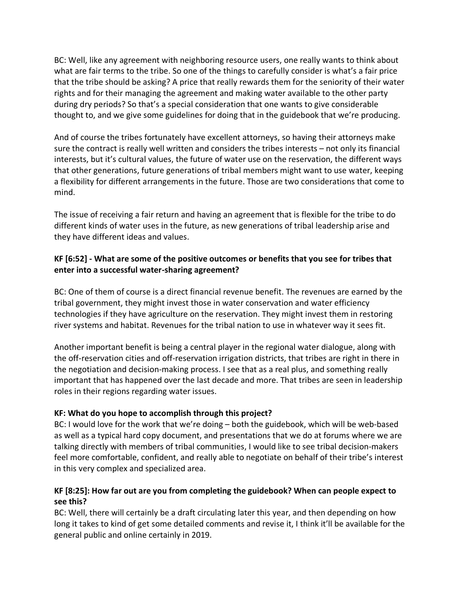BC: Well, like any agreement with neighboring resource users, one really wants to think about what are fair terms to the tribe. So one of the things to carefully consider is what's a fair price that the tribe should be asking? A price that really rewards them for the seniority of their water rights and for their managing the agreement and making water available to the other party during dry periods? So that's a special consideration that one wants to give considerable thought to, and we give some guidelines for doing that in the guidebook that we're producing.

And of course the tribes fortunately have excellent attorneys, so having their attorneys make sure the contract is really well written and considers the tribes interests – not only its financial interests, but it's cultural values, the future of water use on the reservation, the different ways that other generations, future generations of tribal members might want to use water, keeping a flexibility for different arrangements in the future. Those are two considerations that come to mind.

The issue of receiving a fair return and having an agreement that is flexible for the tribe to do different kinds of water uses in the future, as new generations of tribal leadership arise and they have different ideas and values.

### **KF [6:52] - What are some of the positive outcomes or benefits that you see for tribes that enter into a successful water-sharing agreement?**

BC: One of them of course is a direct financial revenue benefit. The revenues are earned by the tribal government, they might invest those in water conservation and water efficiency technologies if they have agriculture on the reservation. They might invest them in restoring river systems and habitat. Revenues for the tribal nation to use in whatever way it sees fit.

Another important benefit is being a central player in the regional water dialogue, along with the off-reservation cities and off-reservation irrigation districts, that tribes are right in there in the negotiation and decision-making process. I see that as a real plus, and something really important that has happened over the last decade and more. That tribes are seen in leadership roles in their regions regarding water issues.

#### **KF: What do you hope to accomplish through this project?**

BC: I would love for the work that we're doing – both the guidebook, which will be web-based as well as a typical hard copy document, and presentations that we do at forums where we are talking directly with members of tribal communities, I would like to see tribal decision-makers feel more comfortable, confident, and really able to negotiate on behalf of their tribe's interest in this very complex and specialized area.

### **KF [8:25]: How far out are you from completing the guidebook? When can people expect to see this?**

BC: Well, there will certainly be a draft circulating later this year, and then depending on how long it takes to kind of get some detailed comments and revise it, I think it'll be available for the general public and online certainly in 2019.